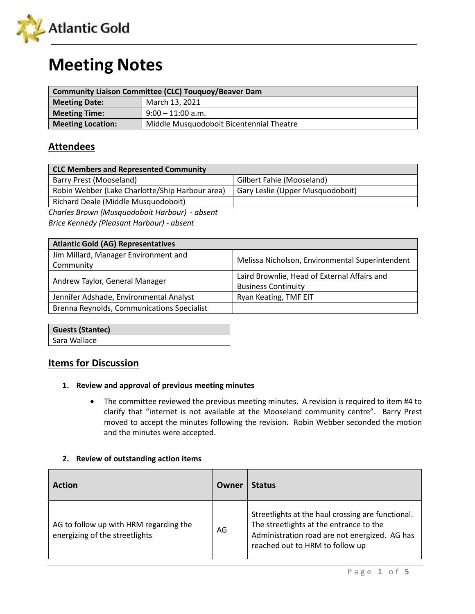

# **Meeting Notes**

| <b>Community Liaison Committee (CLC) Touguoy/Beaver Dam</b> |                                          |  |
|-------------------------------------------------------------|------------------------------------------|--|
| <b>Meeting Date:</b>                                        | March 13, 2021                           |  |
| <b>Meeting Time:</b>                                        | $9:00 - 11:00$ a.m.                      |  |
| <b>Meeting Location:</b>                                    | Middle Musquodoboit Bicentennial Theatre |  |

## **Attendees**

| <b>CLC Members and Represented Community</b>    |                                  |  |
|-------------------------------------------------|----------------------------------|--|
| Barry Prest (Mooseland)                         | Gilbert Fahie (Mooseland)        |  |
| Robin Webber (Lake Charlotte/Ship Harbour area) | Gary Leslie (Upper Musquodoboit) |  |
| Richard Deale (Middle Musquodoboit)             |                                  |  |
| Charles Brown (Musquodoboit Harbour) - absent   |                                  |  |

*Brice Kennedy (Pleasant Harbour) - absent*

| <b>Atlantic Gold (AG) Representatives</b>  |                                                 |
|--------------------------------------------|-------------------------------------------------|
| Jim Millard, Manager Environment and       | Melissa Nicholson, Environmental Superintendent |
| Community                                  |                                                 |
|                                            | Laird Brownlie, Head of External Affairs and    |
| Andrew Taylor, General Manager             | <b>Business Continuity</b>                      |
| Jennifer Adshade, Environmental Analyst    | Ryan Keating, TMF EIT                           |
| Brenna Reynolds, Communications Specialist |                                                 |

| <b>Guests (Stantec)</b> |  |
|-------------------------|--|
| Sara Wallace            |  |

# **Items for Discussion**

#### **1. Review and approval of previous meeting minutes**

• The committee reviewed the previous meeting minutes. A revision is required to item #4 to clarify that "internet is not available at the Mooseland community centre". Barry Prest moved to accept the minutes following the revision. Robin Webber seconded the motion and the minutes were accepted.

#### **2. Review of outstanding action items**

| <b>Action</b>                                                            | Owner | <b>Status</b>                                                                                                                                                                    |
|--------------------------------------------------------------------------|-------|----------------------------------------------------------------------------------------------------------------------------------------------------------------------------------|
| AG to follow up with HRM regarding the<br>energizing of the streetlights | AG    | Streetlights at the haul crossing are functional.<br>The streetlights at the entrance to the<br>Administration road are not energized. AG has<br>reached out to HRM to follow up |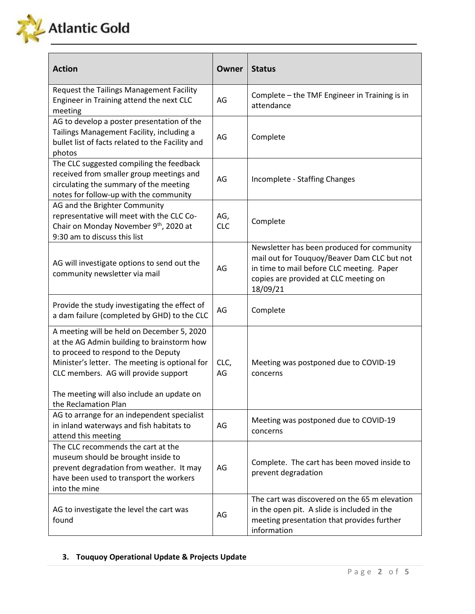

| <b>Action</b>                                                                                                                                                                                                                                                           | Owner             | <b>Status</b>                                                                                                                                                                               |
|-------------------------------------------------------------------------------------------------------------------------------------------------------------------------------------------------------------------------------------------------------------------------|-------------------|---------------------------------------------------------------------------------------------------------------------------------------------------------------------------------------------|
| Request the Tailings Management Facility<br>Engineer in Training attend the next CLC<br>meeting                                                                                                                                                                         | AG                | Complete - the TMF Engineer in Training is in<br>attendance                                                                                                                                 |
| AG to develop a poster presentation of the<br>Tailings Management Facility, including a<br>bullet list of facts related to the Facility and<br>photos                                                                                                                   | AG                | Complete                                                                                                                                                                                    |
| The CLC suggested compiling the feedback<br>received from smaller group meetings and<br>circulating the summary of the meeting<br>notes for follow-up with the community                                                                                                | AG                | Incomplete - Staffing Changes                                                                                                                                                               |
| AG and the Brighter Community<br>representative will meet with the CLC Co-<br>Chair on Monday November 9th, 2020 at<br>9:30 am to discuss this list                                                                                                                     | AG,<br><b>CLC</b> | Complete                                                                                                                                                                                    |
| AG will investigate options to send out the<br>community newsletter via mail                                                                                                                                                                                            | AG                | Newsletter has been produced for community<br>mail out for Touquoy/Beaver Dam CLC but not<br>in time to mail before CLC meeting. Paper<br>copies are provided at CLC meeting on<br>18/09/21 |
| Provide the study investigating the effect of<br>a dam failure (completed by GHD) to the CLC                                                                                                                                                                            | AG                | Complete                                                                                                                                                                                    |
| A meeting will be held on December 5, 2020<br>at the AG Admin building to brainstorm how<br>to proceed to respond to the Deputy<br>Minister's letter. The meeting is optional for<br>CLC members. AG will provide support<br>The meeting will also include an update on | CLC,<br>AG        | Meeting was postponed due to COVID-19<br>concerns                                                                                                                                           |
| the Reclamation Plan<br>AG to arrange for an independent specialist<br>in inland waterways and fish habitats to<br>attend this meeting                                                                                                                                  | AG                | Meeting was postponed due to COVID-19<br>concerns                                                                                                                                           |
| The CLC recommends the cart at the<br>museum should be brought inside to<br>prevent degradation from weather. It may<br>have been used to transport the workers<br>into the mine                                                                                        | AG                | Complete. The cart has been moved inside to<br>prevent degradation                                                                                                                          |
| AG to investigate the level the cart was<br>found                                                                                                                                                                                                                       | AG                | The cart was discovered on the 65 m elevation<br>in the open pit. A slide is included in the<br>meeting presentation that provides further<br>information                                   |

### **3. Touquoy Operational Update & Projects Update**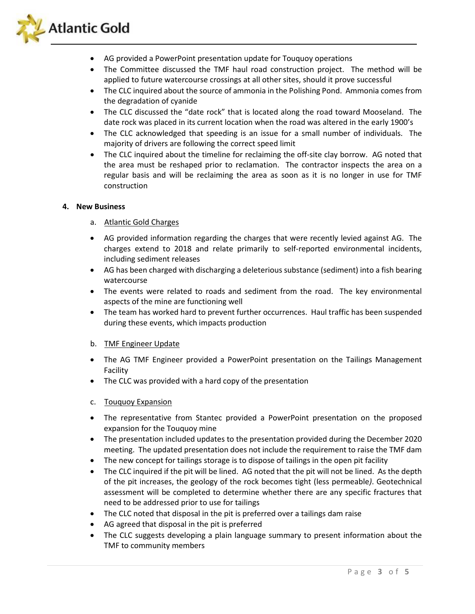

- AG provided a PowerPoint presentation update for Touquoy operations
- The Committee discussed the TMF haul road construction project. The method will be applied to future watercourse crossings at all other sites, should it prove successful
- The CLC inquired about the source of ammonia in the Polishing Pond. Ammonia comes from the degradation of cyanide
- The CLC discussed the "date rock" that is located along the road toward Mooseland. The date rock was placed in its current location when the road was altered in the early 1900's
- The CLC acknowledged that speeding is an issue for a small number of individuals. The majority of drivers are following the correct speed limit
- The CLC inquired about the timeline for reclaiming the off-site clay borrow. AG noted that the area must be reshaped prior to reclamation. The contractor inspects the area on a regular basis and will be reclaiming the area as soon as it is no longer in use for TMF construction

#### **4. New Business**

- a. Atlantic Gold Charges
- AG provided information regarding the charges that were recently levied against AG. The charges extend to 2018 and relate primarily to self-reported environmental incidents, including sediment releases
- AG has been charged with discharging a deleterious substance (sediment) into a fish bearing watercourse
- The events were related to roads and sediment from the road. The key environmental aspects of the mine are functioning well
- The team has worked hard to prevent further occurrences. Haul traffic has been suspended during these events, which impacts production
- b. TMF Engineer Update
- The AG TMF Engineer provided a PowerPoint presentation on the Tailings Management Facility
- The CLC was provided with a hard copy of the presentation
- c. Touquoy Expansion
- The representative from Stantec provided a PowerPoint presentation on the proposed expansion for the Touquoy mine
- The presentation included updates to the presentation provided during the December 2020 meeting. The updated presentation does not include the requirement to raise the TMF dam
- The new concept for tailings storage is to dispose of tailings in the open pit facility
- The CLC inquired if the pit will be lined. AG noted that the pit will not be lined. As the depth of the pit increases, the geology of the rock becomes tight (less permeable*)*. Geotechnical assessment will be completed to determine whether there are any specific fractures that need to be addressed prior to use for tailings
- The CLC noted that disposal in the pit is preferred over a tailings dam raise
- AG agreed that disposal in the pit is preferred
- The CLC suggests developing a plain language summary to present information about the TMF to community members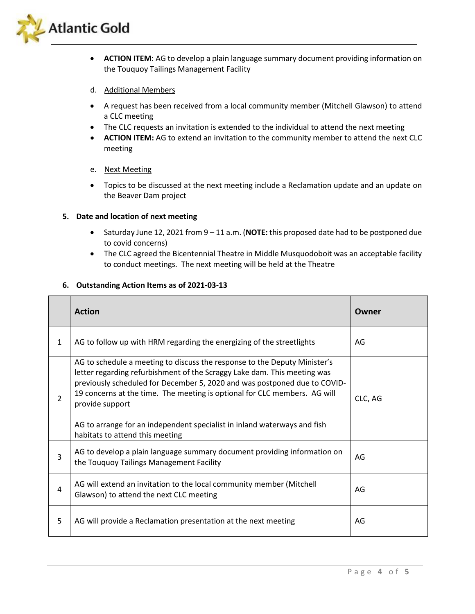

• **ACTION ITEM**: AG to develop a plain language summary document providing information on the Touquoy Tailings Management Facility

#### d. Additional Members

- A request has been received from a local community member (Mitchell Glawson) to attend a CLC meeting
- The CLC requests an invitation is extended to the individual to attend the next meeting
- **ACTION ITEM:** AG to extend an invitation to the community member to attend the next CLC meeting

#### e. Next Meeting

• Topics to be discussed at the next meeting include a Reclamation update and an update on the Beaver Dam project

#### **5. Date and location of next meeting**

- Saturday June 12, 2021 from 9 11 a.m. (**NOTE:** this proposed date had to be postponed due to covid concerns)
- The CLC agreed the Bicentennial Theatre in Middle Musquodoboit was an acceptable facility to conduct meetings. The next meeting will be held at the Theatre

#### **6. Outstanding Action Items as of 2021-03-13**

|                | <b>Action</b>                                                                                                                                                                                                                                                                                                                                                                                                                                     | Owner   |
|----------------|---------------------------------------------------------------------------------------------------------------------------------------------------------------------------------------------------------------------------------------------------------------------------------------------------------------------------------------------------------------------------------------------------------------------------------------------------|---------|
| $\mathbf{1}$   | AG to follow up with HRM regarding the energizing of the streetlights                                                                                                                                                                                                                                                                                                                                                                             | AG      |
| $\overline{2}$ | AG to schedule a meeting to discuss the response to the Deputy Minister's<br>letter regarding refurbishment of the Scraggy Lake dam. This meeting was<br>previously scheduled for December 5, 2020 and was postponed due to COVID-<br>19 concerns at the time. The meeting is optional for CLC members. AG will<br>provide support<br>AG to arrange for an independent specialist in inland waterways and fish<br>habitats to attend this meeting | CLC, AG |
| 3              | AG to develop a plain language summary document providing information on<br>the Touquoy Tailings Management Facility                                                                                                                                                                                                                                                                                                                              | AG      |
| 4              | AG will extend an invitation to the local community member (Mitchell<br>Glawson) to attend the next CLC meeting                                                                                                                                                                                                                                                                                                                                   | AG      |
| 5              | AG will provide a Reclamation presentation at the next meeting                                                                                                                                                                                                                                                                                                                                                                                    | AG      |